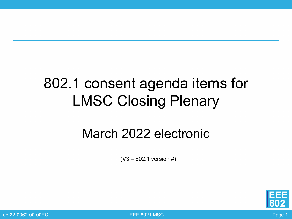### 802.1 consent agenda items for LMSC Closing Plenary

#### March 2022 electronic

 $(V3 - 802.1$  version #)



ec-22-0062-00-00EC IEEE 802 LMSC Page 1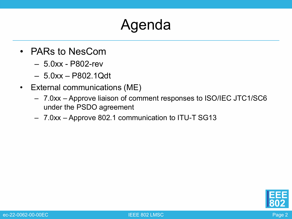### Agenda

- PARs to NesCom
	- 5.0xx P802-rev
	- 5.0xx P802.1Qdt
- External communications (ME)
	- 7.0xx Approve liaison of comment responses to ISO/IEC JTC1/SC6 under the PSDO agreement
	- 7.0xx Approve 802.1 communication to ITU-T SG13

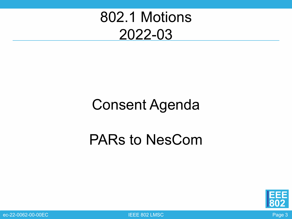### 802.1 Motions 2022-03

### Consent Agenda

### PARs to NesCom



ec-22-0062-00-00EC Page 3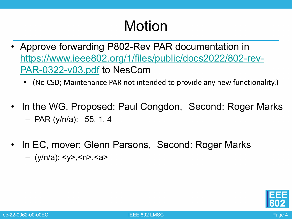- Approve forwarding P802-Rev PAR documentation in [https://www.ieee802.org/1/files/public/docs2022/802-rev-](https://www.ieee802.org/1/files/public/docs2022/802-rev-PAR-0322-v03.pdf)PAR-0322-v03.pdf to NesCom
	- (No CSD; Maintenance PAR not intended to provide any new functionality.)
- In the WG, Proposed: Paul Congdon, Second: Roger Marks – PAR (y/n/a): 55, 1, 4
- In EC, mover: Glenn Parsons, Second: Roger Marks – (y/n/a): <y>,<n>,<a>

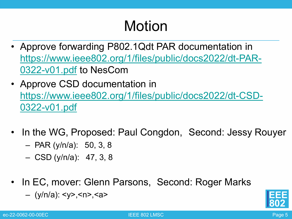- Approve forwarding P802.1Qdt PAR documentation in [https://www.ieee802.org/1/files/public/docs2022/dt-PAR-](https://www.ieee802.org/1/files/public/docs2022/dt-PAR-0322-v01.pdf)0322-v01.pdf to NesCom
- Approve CSD documentation in [https://www.ieee802.org/1/files/public/docs2022/dt-CSD-](https://www.ieee802.org/1/files/public/docs2022/dt-CSD-0322-v01.pdf)0322-v01.pdf
- In the WG, Proposed: Paul Congdon, Second: Jessy Rouyer
	- PAR (y/n/a): 50, 3, 8
	- CSD (y/n/a): 47, 3, 8
- In EC, mover: Glenn Parsons, Second: Roger Marks
	- (y/n/a): <y>,<n>,<a>

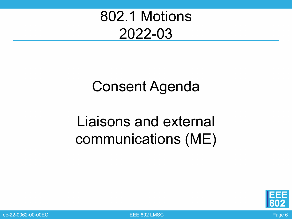### 802.1 Motions 2022-03

### Consent Agenda

## Liaisons and external communications (ME)



ec-22-0062-00-00EC IEEE 802 LMSC Page 6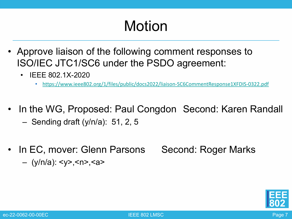- Approve liaison of the following comment responses to ISO/IEC JTC1/SC6 under the PSDO agreement:
	- IEEE 802.1X-2020
		- <https://www.ieee802.org/1/files/public/docs2022/liaison-SC6CommentResponse1XFDIS-0322.pdf>
- In the WG, Proposed: Paul Congdon Second: Karen Randall
	- Sending draft (y/n/a): 51, 2, 5
- In EC, mover: Glenn Parsons Second: Roger Marks – (y/n/a): <y>,<n>,<a>